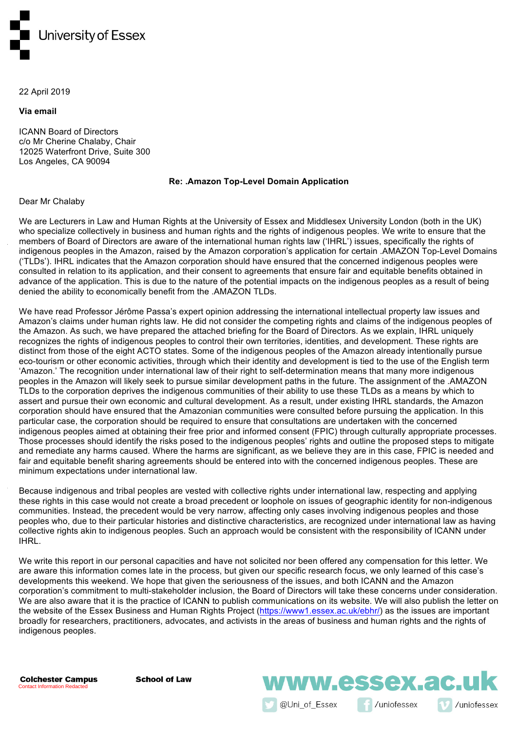

#### 22 April 2019

**Via email**

ICANN Board of Directors c/o Mr Cherine Chalaby, Chair 12025 Waterfront Drive, Suite 300 Los Angeles, CA 90094

#### **Re: .Amazon Top-Level Domain Application**

#### Dear Mr Chalaby

We are Lecturers in Law and Human Rights at the University of Essex and Middlesex University London (both in the UK) who specialize collectively in business and human rights and the rights of indigenous peoples. We write to ensure that the members of Board of Directors are aware of the international human rights law ('IHRL') issues, specifically the rights of indigenous peoples in the Amazon, raised by the Amazon corporation's application for certain .AMAZON Top-Level Domains ('TLDs'). IHRL indicates that the Amazon corporation should have ensured that the concerned indigenous peoples were consulted in relation to its application, and their consent to agreements that ensure fair and equitable benefits obtained in advance of the application. This is due to the nature of the potential impacts on the indigenous peoples as a result of being denied the ability to economically benefit from the .AMAZON TLDs.

We have read Professor Jérôme Passa's expert opinion addressing the international intellectual property law issues and Amazon's claims under human rights law. He did not consider the competing rights and claims of the indigenous peoples of the Amazon. As such, we have prepared the attached briefing for the Board of Directors. As we explain, IHRL uniquely recognizes the rights of indigenous peoples to control their own territories, identities, and development. These rights are distinct from those of the eight ACTO states. Some of the indigenous peoples of the Amazon already intentionally pursue eco-tourism or other economic activities, through which their identity and development is tied to the use of the English term 'Amazon.' The recognition under international law of their right to self-determination means that many more indigenous peoples in the Amazon will likely seek to pursue similar development paths in the future. The assignment of the .AMAZON TLDs to the corporation deprives the indigenous communities of their ability to use these TLDs as a means by which to assert and pursue their own economic and cultural development. As a result, under existing IHRL standards, the Amazon corporation should have ensured that the Amazonian communities were consulted before pursuing the application. In this particular case, the corporation should be required to ensure that consultations are undertaken with the concerned indigenous peoples aimed at obtaining their free prior and informed consent (FPIC) through culturally appropriate processes. Those processes should identify the risks posed to the indigenous peoples' rights and outline the proposed steps to mitigate and remediate any harms caused. Where the harms are significant, as we believe they are in this case, FPIC is needed and fair and equitable benefit sharing agreements should be entered into with the concerned indigenous peoples. These are minimum expectations under international law.

Because indigenous and tribal peoples are vested with collective rights under international law, respecting and applying these rights in this case would not create a broad precedent or loophole on issues of geographic identity for non-indigenous communities. Instead, the precedent would be very narrow, affecting only cases involving indigenous peoples and those peoples who, due to their particular histories and distinctive characteristics, are recognized under international law as having collective rights akin to indigenous peoples. Such an approach would be consistent with the responsibility of ICANN under IHRL.

We write this report in our personal capacities and have not solicited nor been offered any compensation for this letter. We are aware this information comes late in the process, but given our specific research focus, we only learned of this case's developments this weekend. We hope that given the seriousness of the issues, and both ICANN and the Amazon corporation's commitment to multi-stakeholder inclusion, the Board of Directors will take these concerns under consideration. We are also aware that it is the practice of ICANN to publish communications on its website. We will also publish the letter on the website of the Essex Business and Human Rights Project (https://www1.essex.ac.uk/ebhr/) as the issues are important broadly for researchers, practitioners, advocates, and activists in the areas of business and human rights and the rights of indigenous peoples.

**Colchester Campus** Contact Information Redacted

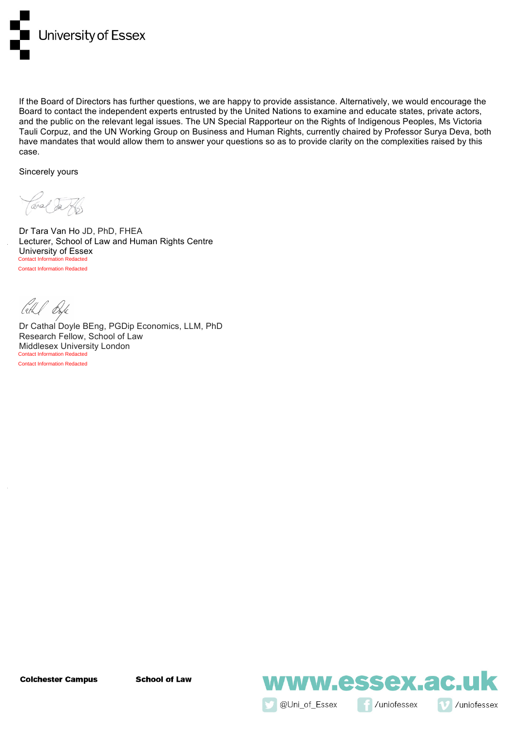

If the Board of Directors has further questions, we are happy to provide assistance. Alternatively, we would encourage the Board to contact the independent experts entrusted by the United Nations to examine and educate states, private actors, and the public on the relevant legal issues. The UN Special Rapporteur on the Rights of Indigenous Peoples, Ms Victoria Tauli Corpuz, and the UN Working Group on Business and Human Rights, currently chaired by Professor Surya Deva, both have mandates that would allow them to answer your questions so as to provide clarity on the complexities raised by this case.

Sincerely yours

Teral da

Dr Tara Van Ho JD, PhD, FHEA Lecturer, School of Law and Human Rights Centre University of Essex **Contact Information Redacted** Contact Information Redacted

Cethel Dorfe

Dr Cathal Doyle BEng, PGDip Economics, LLM, PhD Research Fellow, School of Law Middlesex University London Contact Information Redacted

Contact Information Redacted

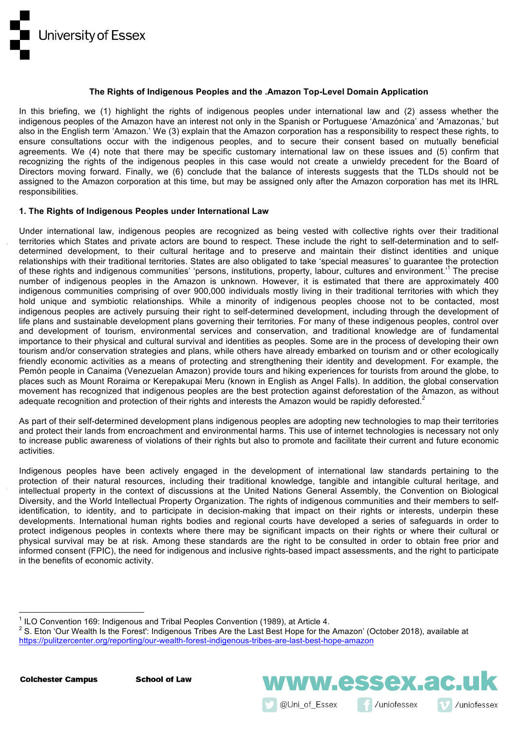

#### **The Rights of Indigenous Peoples and the .Amazon Top-Level Domain Application**

In this briefing, we (1) highlight the rights of indigenous peoples under international law and (2) assess whether the indigenous peoples of the Amazon have an interest not only in the Spanish or Portuguese 'Amazónica' and 'Amazonas,' but also in the English term 'Amazon.' We (3) explain that the Amazon corporation has a responsibility to respect these rights, to ensure consultations occur with the indigenous peoples, and to secure their consent based on mutually beneficial agreements. We (4) note that there may be specific customary international law on these issues and (5) confirm that recognizing the rights of the indigenous peoples in this case would not create a unwieldy precedent for the Board of Directors moving forward. Finally, we (6) conclude that the balance of interests suggests that the TLDs should not be assigned to the Amazon corporation at this time, but may be assigned only after the Amazon corporation has met its IHRL responsibilities.

# **1. The Rights of Indigenous Peoples under International Law**

Under international law, indigenous peoples are recognized as being vested with collective rights over their traditional territories which States and private actors are bound to respect. These include the right to self-determination and to selfdetermined development, to their cultural heritage and to preserve and maintain their distinct identities and unique relationships with their traditional territories. States are also obligated to take 'special measures' to guarantee the protection of these rights and indigenous communities' 'persons, institutions, property, labour, cultures and environment.'1 The precise number of indigenous peoples in the Amazon is unknown. However, it is estimated that there are approximately 400 indigenous communities comprising of over 900,000 individuals mostly living in their traditional territories with which they hold unique and symbiotic relationships. While a minority of indigenous peoples choose not to be contacted, most indigenous peoples are actively pursuing their right to self-determined development, including through the development of life plans and sustainable development plans governing their territories. For many of these indigenous peoples, control over and development of tourism, environmental services and conservation, and traditional knowledge are of fundamental importance to their physical and cultural survival and identities as peoples. Some are in the process of developing their own tourism and/or conservation strategies and plans, while others have already embarked on tourism and or other ecologically friendly economic activities as a means of protecting and strengthening their identity and development. For example, the Pemón people in Canaima (Venezuelan Amazon) provide tours and hiking experiences for tourists from around the globe, to places such as Mount Roraima or Kerepakupai Meru (known in English as Angel Falls). In addition, the global conservation movement has recognized that indigenous peoples are the best protection against deforestation of the Amazon, as without adequate recognition and protection of their rights and interests the Amazon would be rapidly deforested.<sup>2</sup>

As part of their self-determined development plans indigenous peoples are adopting new technologies to map their territories and protect their lands from encroachment and environmental harms. This use of internet technologies is necessary not only to increase public awareness of violations of their rights but also to promote and facilitate their current and future economic activities.

Indigenous peoples have been actively engaged in the development of international law standards pertaining to the protection of their natural resources, including their traditional knowledge, tangible and intangible cultural heritage, and intellectual property in the context of discussions at the United Nations General Assembly, the Convention on Biological Diversity, and the World Intellectual Property Organization. The rights of indigenous communities and their members to selfidentification, to identity, and to participate in decision-making that impact on their rights or interests, underpin these developments. International human rights bodies and regional courts have developed a series of safeguards in order to protect indigenous peoples in contexts where there may be significant impacts on their rights or where their cultural or physical survival may be at risk. Among these standards are the right to be consulted in order to obtain free prior and informed consent (FPIC), the need for indigenous and inclusive rights-based impact assessments, and the right to participate in the benefits of economic activity.

@Uni of Essex

ww.essex.ac.u

/uniofessex

/uniofessex



 $1$  ILO Convention 169: Indigenous and Tribal Peoples Convention (1989), at Article 4.

<sup>&</sup>lt;sup>2</sup> S. Eton 'Our Wealth Is the Forest': Indigenous Tribes Are the Last Best Hope for the Amazon' (October 2018), available at https://pulitzercenter.org/reporting/our-wealth-forest-indigenous-tribes-are-last-best-hope-amazon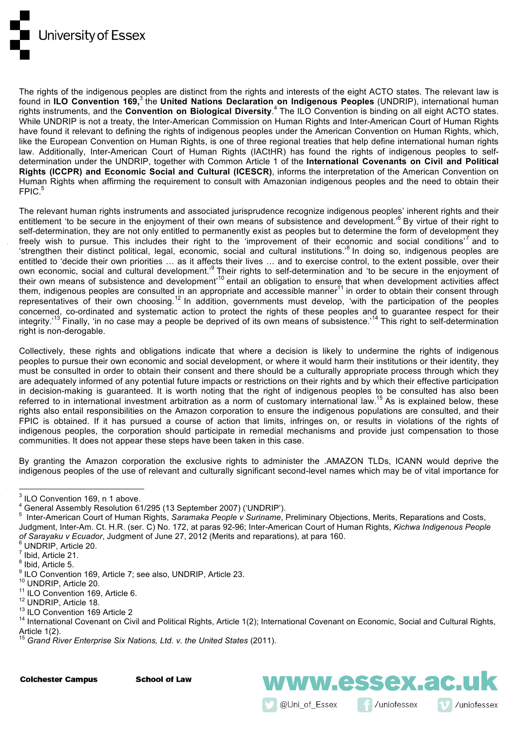

The rights of the indigenous peoples are distinct from the rights and interests of the eight ACTO states. The relevant law is found in **ILO Convention 169,** <sup>3</sup> the **United Nations Declaration on Indigenous Peoples** (UNDRIP), international human rights instruments, and the **Convention on Biological Diversity**. <sup>4</sup> The ILO Convention is binding on all eight ACTO states. While UNDRIP is not a treaty, the Inter-American Commission on Human Rights and Inter-American Court of Human Rights have found it relevant to defining the rights of indigenous peoples under the American Convention on Human Rights, which, like the European Convention on Human Rights, is one of three regional treaties that help define international human rights law. Additionally, Inter-American Court of Human Rights (IACtHR) has found the rights of indigenous peoples to selfdetermination under the UNDRIP, together with Common Article 1 of the **International Covenants on Civil and Political Rights (ICCPR) and Economic Social and Cultural (ICESCR)**, informs the interpretation of the American Convention on Human Rights when affirming the requirement to consult with Amazonian indigenous peoples and the need to obtain their  $FPIC.<sup>5</sup>$ 

The relevant human rights instruments and associated jurisprudence recognize indigenous peoples' inherent rights and their entitlement 'to be secure in the enjoyment of their own means of subsistence and development.<sup>6</sup> By virtue of their right to self-determination, they are not only entitled to permanently exist as peoples but to determine the form of development they freely wish to pursue. This includes their right to the 'improvement of their economic and social conditions'<sup>7</sup> and to 'strengthen their distinct political, legal, economic, social and cultural institutions.<sup>8</sup> In doing so, indigenous peoples are entitled to 'decide their own priorities … as it affects their lives … and to exercise control, to the extent possible, over their own economic, social and cultural development.<sup>,9</sup> Their rights to self-determination and 'to be secure in the enjoyment of their own means of subsistence and development<sup>10</sup> entail an obligation to ensure that when development activities affect them, indigenous peoples are consulted in an appropriate and accessible manner<sup>11</sup> in order to obtain their consent through representatives of their own choosing.<sup>12</sup> In addition, governments must develop, 'with the participation of the peoples concerned, co-ordinated and systematic action to protect the rights of these peoples and to guarantee respect for their integrity.'<sup>13</sup> Finally, 'in no case may a people be deprived of its own means of subsistence.'<sup>14</sup> This right to self-determination right is non-derogable.

Collectively, these rights and obligations indicate that where a decision is likely to undermine the rights of indigenous peoples to pursue their own economic and social development, or where it would harm their institutions or their identity, they must be consulted in order to obtain their consent and there should be a culturally appropriate process through which they are adequately informed of any potential future impacts or restrictions on their rights and by which their effective participation in decision-making is guaranteed. It is worth noting that the right of indigenous peoples to be consulted has also been referred to in international investment arbitration as a norm of customary international law.<sup>15</sup> As is explained below, these rights also entail responsibilities on the Amazon corporation to ensure the indigenous populations are consulted, and their FPIC is obtained. If it has pursued a course of action that limits, infringes on, or results in violations of the rights of indigenous peoples, the corporation should participate in remedial mechanisms and provide just compensation to those communities. It does not appear these steps have been taken in this case.

By granting the Amazon corporation the exclusive rights to administer the .AMAZON TLDs, ICANN would deprive the indigenous peoples of the use of relevant and culturally significant second-level names which may be of vital importance for

@Uni\_of\_Essex

ww.essex.ac.uk

/uniofessex

/uniofessex

**Colchester Campus** 

<sup>&</sup>lt;sup>3</sup> ILO Convention 169, n 1 above.

<sup>&</sup>lt;sup>4</sup> General Assembly Resolution 61/295 (13 September 2007) ('UNDRIP').

Inter-American Court of Human Rights, *Saramaka People v Suriname*, Preliminary Objections, Merits, Reparations and Costs, Judgment, Inter-Am. Ct. H.R. (ser. C) No. 172, at paras 92-96; Inter-American Court of Human Rights, *Kichwa Indigenous People of Sarayaku v Ecuador*, Judgment of June 27, 2012 (Merits and reparations), at para 160.<br><sup>6</sup> UNDRIP, Article 20.<br><sup>7</sup> Ibid. Article 21.

<sup>&</sup>lt;sup>8</sup> Ibid, Article 5.<br>
<sup>9</sup> ILO Convention 169, Article 7; see also, UNDRIP, Article 23.<br>
<sup>10</sup> UNDRIP, Article 20.<br>
<sup>11</sup> ILO Convention 169, Article 6.<br>
<sup>12</sup> UNDRIP, Article 18.<br>
<sup>13</sup> ILO Convention 169 Article 2<br>
<sup>14</sup> Inter Article 1(2).

<sup>15</sup> *Grand River Enterprise Six Nations, Ltd. v. the United States* (2011).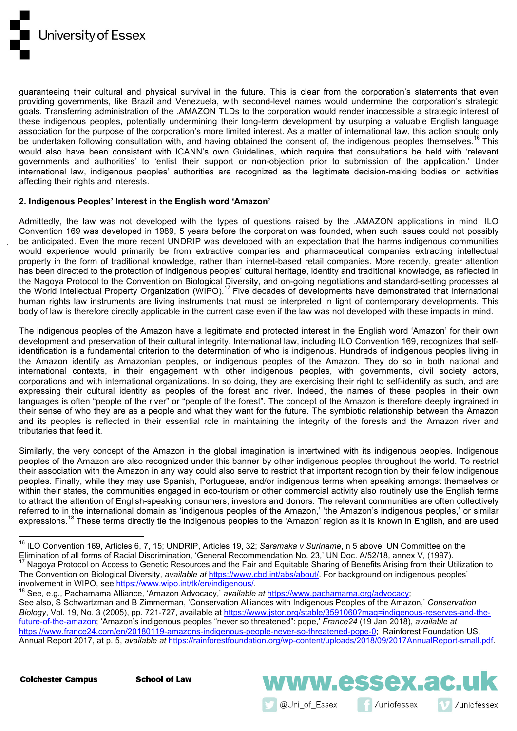

guaranteeing their cultural and physical survival in the future. This is clear from the corporation's statements that even providing governments, like Brazil and Venezuela, with second-level names would undermine the corporation's strategic goals. Transferring administration of the .AMAZON TLDs to the corporation would render inaccessible a strategic interest of these indigenous peoples, potentially undermining their long-term development by usurping a valuable English language association for the purpose of the corporation's more limited interest. As a matter of international law, this action should only be undertaken following consultation with, and having obtained the consent of, the indigenous peoples themselves.<sup>16</sup> This would also have been consistent with ICANN's own Guidelines, which require that consultations be held with 'relevant governments and authorities' to 'enlist their support or non-objection prior to submission of the application.' Under international law, indigenous peoples' authorities are recognized as the legitimate decision-making bodies on activities affecting their rights and interests.

# **2. Indigenous Peoples' Interest in the English word 'Amazon'**

Admittedly, the law was not developed with the types of questions raised by the .AMAZON applications in mind. ILO Convention 169 was developed in 1989, 5 years before the corporation was founded, when such issues could not possibly be anticipated. Even the more recent UNDRIP was developed with an expectation that the harms indigenous communities would experience would primarily be from extractive companies and pharmaceutical companies extracting intellectual property in the form of traditional knowledge, rather than internet-based retail companies. More recently, greater attention has been directed to the protection of indigenous peoples' cultural heritage, identity and traditional knowledge, as reflected in the Nagoya Protocol to the Convention on Biological Diversity, and on-going negotiations and standard-setting processes at the World Intellectual Property Organization (WIPO).<sup>17</sup> Five decades of developments have demonstrated that international human rights law instruments are living instruments that must be interpreted in light of contemporary developments. This body of law is therefore directly applicable in the current case even if the law was not developed with these impacts in mind.

The indigenous peoples of the Amazon have a legitimate and protected interest in the English word 'Amazon' for their own development and preservation of their cultural integrity. International law, including ILO Convention 169, recognizes that selfidentification is a fundamental criterion to the determination of who is indigenous. Hundreds of indigenous peoples living in the Amazon identify as Amazonian peoples, or indigenous peoples of the Amazon. They do so in both national and international contexts, in their engagement with other indigenous peoples, with governments, civil society actors, corporations and with international organizations. In so doing, they are exercising their right to self-identify as such, and are expressing their cultural identity as peoples of the forest and river. Indeed, the names of these peoples in their own languages is often "people of the river" or "people of the forest". The concept of the Amazon is therefore deeply ingrained in their sense of who they are as a people and what they want for the future. The symbiotic relationship between the Amazon and its peoples is reflected in their essential role in maintaining the integrity of the forests and the Amazon river and tributaries that feed it.

Similarly, the very concept of the Amazon in the global imagination is intertwined with its indigenous peoples. Indigenous peoples of the Amazon are also recognized under this banner by other indigenous peoples throughout the world. To restrict their association with the Amazon in any way could also serve to restrict that important recognition by their fellow indigenous peoples. Finally, while they may use Spanish, Portuguese, and/or indigenous terms when speaking amongst themselves or within their states, the communities engaged in eco-tourism or other commercial activity also routinely use the English terms to attract the attention of English-speaking consumers, investors and donors. The relevant communities are often collectively referred to in the international domain as 'indigenous peoples of the Amazon,' 'the Amazon's indigenous peoples,' or similar expressions.<sup>18</sup> These terms directly tie the indigenous peoples to the 'Amazon' region as it is known in English, and are used

<sup>18</sup> See, e.g., Pachamama Alliance, 'Amazon Advocacy,' available at https://www.pachamama.org/advocacy; See also, S Schwartzman and B Zimmerman, 'Conservation Alliances with Indigenous Peoples of the Amazon,' *Conservation Biology*, Vol. 19, No. 3 (2005), pp. 721-727, available at https://www.jstor.org/stable/3591060?mag=indigenous-reserves-and-thefuture-of-the-amazon; 'Amazon's indigenous peoples "never so threatened": pope,' *France24* (19 Jan 2018), *available at* https://www.france24.com/en/20180119-amazons-indigenous-people-never-so-threatened-pope-0; Rainforest Foundation US, Annual Report 2017, at p. 5, *available at* https://rainforestfoundation.org/wp-content/uploads/2018/09/2017AnnualReport-small.pdf.

**Colchester Campus** 

 



<sup>&</sup>lt;sup>16</sup> ILO Convention 169, Articles 6, 7, 15; UNDRIP, Articles 19, 32; *Saramaka v Suriname*, n 5 above; UN Committee on the<br>Elimination of all forms of Racial Discrimination, 'General Recommendation No. 23,' UN Doc. A/52/18 Nagoya Protocol on Access to Genetic Resources and the Fair and Equitable Sharing of Benefits Arising from their Utilization to The Convention on Biological Diversity, *available at* https://www.cbd.int/abs/about/. For background on indigenous peoples'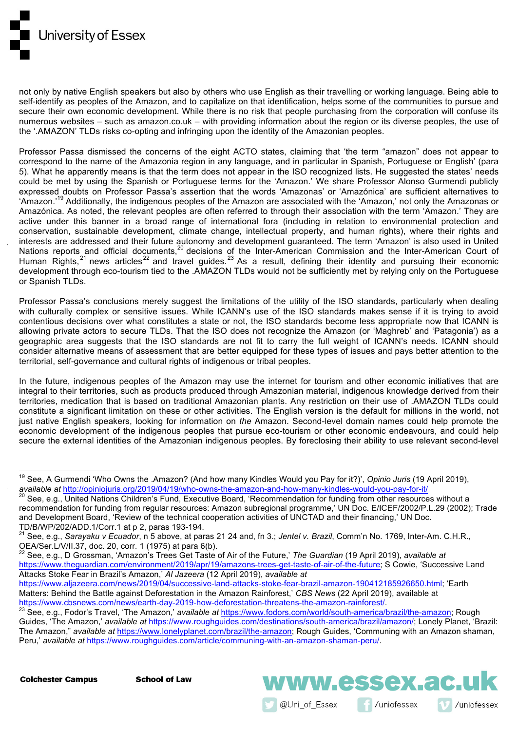

not only by native English speakers but also by others who use English as their travelling or working language. Being able to self-identify as peoples of the Amazon, and to capitalize on that identification, helps some of the communities to pursue and secure their own economic development. While there is no risk that people purchasing from the corporation will confuse its numerous websites – such as amazon.co.uk – with providing information about the region or its diverse peoples, the use of the '.AMAZON' TLDs risks co-opting and infringing upon the identity of the Amazonian peoples.

Professor Passa dismissed the concerns of the eight ACTO states, claiming that 'the term "amazon" does not appear to correspond to the name of the Amazonia region in any language, and in particular in Spanish, Portuguese or English' (para 5). What he apparently means is that the term does not appear in the ISO recognized lists. He suggested the states' needs could be met by using the Spanish or Portuguese terms for the 'Amazon.' We share Professor Alonso Gurmendi publicly expressed doubts on Professor Passa's assertion that the words 'Amazonas' or 'Amazónica' are sufficient alternatives to 'Amazon.<sup>'19</sup> Additionally, the indigenous peoples of the Amazon are associated with the 'Amazon,' not only the Amazonas or Amazónica. As noted, the relevant peoples are often referred to through their association with the term 'Amazon.' They are active under this banner in a broad range of international fora (including in relation to environmental protection and conservation, sustainable development, climate change, intellectual property, and human rights), where their rights and interests are addressed and their future autonomy and development guaranteed. The term 'Amazon' is also used in United Nations reports and official documents,<sup>20</sup> decisions of the Inter-American Commission and the Inter-American Court of Human Rights,  $21$  news articles  $22$  and travel guides.  $23$  As a result, defining their identity and pursuing their economic development through eco-tourism tied to the .AMAZON TLDs would not be sufficiently met by relying only on the Portuguese or Spanish TLDs.

Professor Passa's conclusions merely suggest the limitations of the utility of the ISO standards, particularly when dealing with culturally complex or sensitive issues. While ICANN's use of the ISO standards makes sense if it is trying to avoid contentious decisions over what constitutes a state or not, the ISO standards become less appropriate now that ICANN is allowing private actors to secure TLDs. That the ISO does not recognize the Amazon (or 'Maghreb' and 'Patagonia') as a geographic area suggests that the ISO standards are not fit to carry the full weight of ICANN's needs. ICANN should consider alternative means of assessment that are better equipped for these types of issues and pays better attention to the territorial, self-governance and cultural rights of indigenous or tribal peoples.

In the future, indigenous peoples of the Amazon may use the internet for tourism and other economic initiatives that are integral to their territories, such as products produced through Amazonian material, indigenous knowledge derived from their territories, medication that is based on traditional Amazonian plants. Any restriction on their use of .AMAZON TLDs could constitute a significant limitation on these or other activities. The English version is the default for millions in the world, not just native English speakers, looking for information on *the* Amazon. Second-level domain names could help promote the economic development of the indigenous peoples that pursue eco-tourism or other economic endeavours, and could help secure the external identities of the Amazonian indigenous peoples. By foreclosing their ability to use relevant second-level

- <sup>22</sup> See. e.g., D Grossman, 'Amazon's Trees Get Taste of Air of the Future,' *The Guardian* (19 April 2019), *available at* https://www.theguardian.com/environment/2019/apr/19/amazons-trees-get-taste-of-air-of-the-future; S Cowie, 'Successive Land Attacks Stoke Fear in Brazil's Amazon,' *Al Jazeera* (12 April 2019), *available at*
- https://www.aljazeera.com/news/2019/04/successive-land-attacks-stoke-fear-brazil-amazon-190412185926650.html; 'Earth Matters: Behind the Battle against Deforestation in the Amazon Rainforest,' CBS News (22 April 2019), available at https://www.cbsnews.com/news/earth-day-2019-how-deforestation-threatens-the-amazon-rainforest/.

**Colchester Campus** 



<sup>&</sup>lt;sup>19</sup> See, A Gurmendi 'Who Owns the .Amazon? (And how many Kindles Would you Pay for it?)', *Opinio Juris* (19 April 2019),<br>available at http://opiniojuris.org/2019/04/19/who-owns-the-amazon-and-how-many-kindles-would-you-p

<sup>&</sup>lt;sup>20</sup> See, e.g., United Nations Children's Fund, Executive Board, 'Recommendation for funding from other resources without a recommendation for funding from regular resources: Amazon subregional programme,' UN Doc. E/ICEF/2002/P.L.29 (2002); Trade and Development Board, 'Review of the technical cooperation activities of UNCTAD and their financing,' UN Doc.

TD/B/WP/202/ADD.1/Corr.1 at p 2, paras 193-194.<br><sup>21</sup> See, e.g., *Sarayaku v Ecuador*, n 5 above, at paras 21 24 and, fn 3.; *Jentel v. Brazil*, Comm'n No. 1769, Inter-Am. C.H.R., OEA/Ser.L/V/II.37, doc. 20, corr. 1 (1975)

<sup>&</sup>lt;sup>23</sup> See, e.g., Fodor's Travel, 'The Amazon,' available at https://www.fodors.com/world/south-america/brazil/the-amazon; Rough Guides, 'The Amazon,' *available at* https://www.roughguides.com/destinations/south-america/brazil/amazon/; Lonely Planet, 'Brazil: The Amazon," *available at* https://www.lonelyplanet.com/brazil/the-amazon; Rough Guides, 'Communing with an Amazon shaman, Peru,' *available at* https://www.roughguides.com/article/communing-with-an-amazon-shaman-peru/.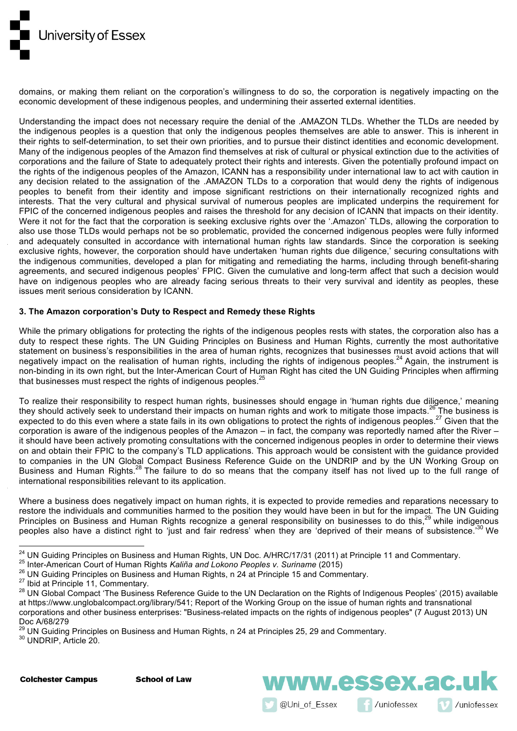

domains, or making them reliant on the corporation's willingness to do so, the corporation is negatively impacting on the economic development of these indigenous peoples, and undermining their asserted external identities.

Understanding the impact does not necessary require the denial of the .AMAZON TLDs. Whether the TLDs are needed by the indigenous peoples is a question that only the indigenous peoples themselves are able to answer. This is inherent in their rights to self-determination, to set their own priorities, and to pursue their distinct identities and economic development. Many of the indigenous peoples of the Amazon find themselves at risk of cultural or physical extinction due to the activities of corporations and the failure of State to adequately protect their rights and interests. Given the potentially profound impact on the rights of the indigenous peoples of the Amazon, ICANN has a responsibility under international law to act with caution in any decision related to the assignation of the .AMAZON TLDs to a corporation that would deny the rights of indigenous peoples to benefit from their identity and impose significant restrictions on their internationally recognized rights and interests. That the very cultural and physical survival of numerous peoples are implicated underpins the requirement for FPIC of the concerned indigenous peoples and raises the threshold for any decision of ICANN that impacts on their identity. Were it not for the fact that the corporation is seeking exclusive rights over the '.Amazon' TLDs, allowing the corporation to also use those TLDs would perhaps not be so problematic, provided the concerned indigenous peoples were fully informed and adequately consulted in accordance with international human rights law standards. Since the corporation is seeking exclusive rights, however, the corporation should have undertaken 'human rights due diligence,' securing consultations with the indigenous communities, developed a plan for mitigating and remediating the harms, including through benefit-sharing agreements, and secured indigenous peoples' FPIC. Given the cumulative and long-term affect that such a decision would have on indigenous peoples who are already facing serious threats to their very survival and identity as peoples, these issues merit serious consideration by ICANN.

# **3. The Amazon corporation's Duty to Respect and Remedy these Rights**

While the primary obligations for protecting the rights of the indigenous peoples rests with states, the corporation also has a duty to respect these rights. The UN Guiding Principles on Business and Human Rights, currently the most authoritative statement on business's responsibilities in the area of human rights, recognizes that businesses must avoid actions that will negatively impact on the realisation of human rights, including the rights of indigenous peoples.<sup>24</sup> Again, the instrument is non-binding in its own right, but the Inter-American Court of Human Right has cited the UN Guiding Principles when affirming that businesses must respect the rights of indigenous peoples.

To realize their responsibility to respect human rights, businesses should engage in 'human rights due diligence,' meaning they should actively seek to understand their impacts on human rights and work to mitigate those impacts.<sup>26</sup> The business is expected to do this even where a state fails in its own obligations to protect the rights of indigenous peoples.<sup>27</sup> Given that the corporation is aware of the indigenous peoples of the Amazon – in fact, the company was reportedly named after the River – it should have been actively promoting consultations with the concerned indigenous peoples in order to determine their views on and obtain their FPIC to the company's TLD applications. This approach would be consistent with the guidance provided to companies in the UN Global Compact Business Reference Guide on the UNDRIP and by the UN Working Group on Business and Human Rights.<sup>28</sup> The failure to do so means that the company itself has not lived up to the full range of international responsibilities relevant to its application.

Where a business does negatively impact on human rights, it is expected to provide remedies and reparations necessary to restore the individuals and communities harmed to the position they would have been in but for the impact. The UN Guiding Principles on Business and Human Rights recognize a general responsibility on businesses to do this,<sup>29</sup> while indigenous peoples also have a distinct right to 'just and fair redress' when they are 'deprived of their means of subsistence.'<sup>30</sup> We

 

@Uni of Essex

ww.essex.ac.u

/uniofessex

/uniofessex

**Colchester Campus** 

<sup>&</sup>lt;sup>24</sup> UN Guiding Principles on Business and Human Rights, UN Doc. A/HRC/17/31 (2011) at Principle 11 and Commentary.<br><sup>25</sup> Inter-American Court of Human Rights *Kaliña and Lokono Peoples v. Suriname* (2015)<br><sup>26</sup> UN Guiding at https://www.unglobalcompact.org/library/541; Report of the Working Group on the issue of human rights and transnational corporations and other business enterprises: "Business-related impacts on the rights of indigenous peoples" (7 August 2013) UN Doc A/68/279

 $^{29}$  UN Guiding Principles on Business and Human Rights, n 24 at Principles 25, 29 and Commentary.  $^{30}$  UNDRIP, Article 20.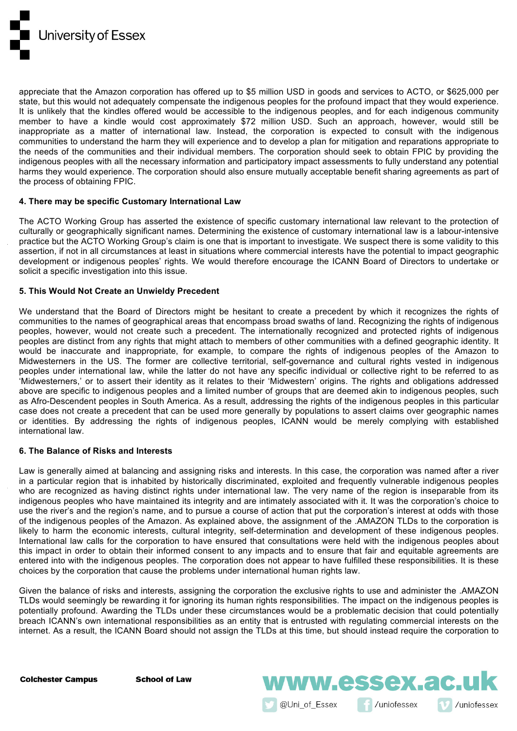

appreciate that the Amazon corporation has offered up to \$5 million USD in goods and services to ACTO, or \$625,000 per state, but this would not adequately compensate the indigenous peoples for the profound impact that they would experience. It is unlikely that the kindles offered would be accessible to the indigenous peoples, and for each indigenous community member to have a kindle would cost approximately \$72 million USD. Such an approach, however, would still be inappropriate as a matter of international law. Instead, the corporation is expected to consult with the indigenous communities to understand the harm they will experience and to develop a plan for mitigation and reparations appropriate to the needs of the communities and their individual members. The corporation should seek to obtain FPIC by providing the indigenous peoples with all the necessary information and participatory impact assessments to fully understand any potential harms they would experience. The corporation should also ensure mutually acceptable benefit sharing agreements as part of the process of obtaining FPIC.

# **4. There may be specific Customary International Law**

The ACTO Working Group has asserted the existence of specific customary international law relevant to the protection of culturally or geographically significant names. Determining the existence of customary international law is a labour-intensive practice but the ACTO Working Group's claim is one that is important to investigate. We suspect there is some validity to this assertion, if not in all circumstances at least in situations where commercial interests have the potential to impact geographic development or indigenous peoples' rights. We would therefore encourage the ICANN Board of Directors to undertake or solicit a specific investigation into this issue.

# **5. This Would Not Create an Unwieldy Precedent**

We understand that the Board of Directors might be hesitant to create a precedent by which it recognizes the rights of communities to the names of geographical areas that encompass broad swaths of land. Recognizing the rights of indigenous peoples, however, would not create such a precedent. The internationally recognized and protected rights of indigenous peoples are distinct from any rights that might attach to members of other communities with a defined geographic identity. It would be inaccurate and inappropriate, for example, to compare the rights of indigenous peoples of the Amazon to Midwesterners in the US. The former are collective territorial, self-governance and cultural rights vested in indigenous peoples under international law, while the latter do not have any specific individual or collective right to be referred to as 'Midwesterners,' or to assert their identity as it relates to their 'Midwestern' origins. The rights and obligations addressed above are specific to indigenous peoples and a limited number of groups that are deemed akin to indigenous peoples, such as Afro-Descendent peoples in South America. As a result, addressing the rights of the indigenous peoples in this particular case does not create a precedent that can be used more generally by populations to assert claims over geographic names or identities. By addressing the rights of indigenous peoples, ICANN would be merely complying with established international law.

#### **6. The Balance of Risks and Interests**

Law is generally aimed at balancing and assigning risks and interests. In this case, the corporation was named after a river in a particular region that is inhabited by historically discriminated, exploited and frequently vulnerable indigenous peoples who are recognized as having distinct rights under international law. The very name of the region is inseparable from its indigenous peoples who have maintained its integrity and are intimately associated with it. It was the corporation's choice to use the river's and the region's name, and to pursue a course of action that put the corporation's interest at odds with those of the indigenous peoples of the Amazon. As explained above, the assignment of the .AMAZON TLDs to the corporation is likely to harm the economic interests, cultural integrity, self-determination and development of these indigenous peoples. International law calls for the corporation to have ensured that consultations were held with the indigenous peoples about this impact in order to obtain their informed consent to any impacts and to ensure that fair and equitable agreements are entered into with the indigenous peoples. The corporation does not appear to have fulfilled these responsibilities. It is these choices by the corporation that cause the problems under international human rights law.

Given the balance of risks and interests, assigning the corporation the exclusive rights to use and administer the .AMAZON TLDs would seemingly be rewarding it for ignoring its human rights responsibilities. The impact on the indigenous peoples is potentially profound. Awarding the TLDs under these circumstances would be a problematic decision that could potentially breach ICANN's own international responsibilities as an entity that is entrusted with regulating commercial interests on the internet. As a result, the ICANN Board should not assign the TLDs at this time, but should instead require the corporation to